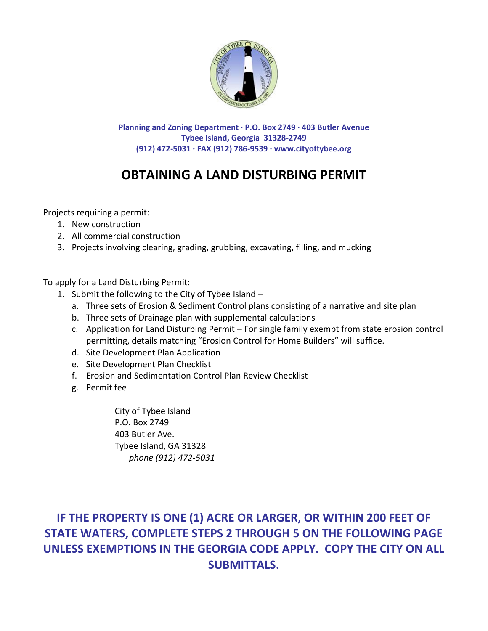

**Planning and Zoning Department · P.O. Box 2749 · 403 Butler Avenue Tybee Island, Georgia 31328-2749 (912) 472-5031 · FAX (912) 786-9539 · www.cityoftybee.org**

# **OBTAINING A LAND DISTURBING PERMIT**

Projects requiring a permit:

- 1. New construction
- 2. All commercial construction
- 3. Projects involving clearing, grading, grubbing, excavating, filling, and mucking

To apply for a Land Disturbing Permit:

- 1. Submit the following to the City of Tybee Island
	- a. Three sets of Erosion & Sediment Control plans consisting of a narrative and site plan
	- b. Three sets of Drainage plan with supplemental calculations
	- c. Application for Land Disturbing Permit For single family exempt from state erosion control permitting, details matching "Erosion Control for Home Builders" will suffice.
	- d. Site Development Plan Application
	- e. Site Development Plan Checklist
	- f. Erosion and Sedimentation Control Plan Review Checklist
	- g. Permit fee

City of Tybee Island P.O. Box 2749 403 Butler Ave. Tybee Island, GA 31328 *phone (912) 472-5031*

## **IF THE PROPERTY IS ONE (1) ACRE OR LARGER, OR WITHIN 200 FEET OF STATE WATERS, COMPLETE STEPS 2 THROUGH 5 ON THE FOLLOWING PAGE UNLESS EXEMPTIONS IN THE GEORGIA CODE APPLY. COPY THE CITY ON ALL SUBMITTALS.**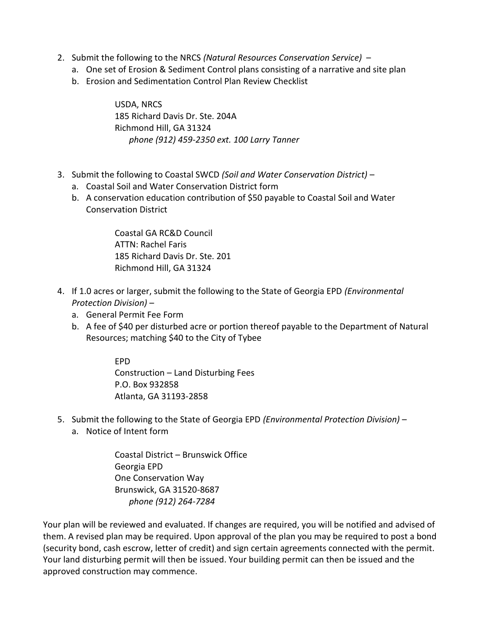- 2. Submit the following to the NRCS *(Natural Resources Conservation Service)*
	- a. One set of Erosion & Sediment Control plans consisting of a narrative and site plan
	- b. Erosion and Sedimentation Control Plan Review Checklist

USDA, NRCS 185 Richard Davis Dr. Ste. 204A Richmond Hill, GA 31324 *phone (912) 459-2350 ext. 100 Larry Tanner*

- 3. Submit the following to Coastal SWCD *(Soil and Water Conservation District)*
	- a. Coastal Soil and Water Conservation District form
	- b. A conservation education contribution of \$50 payable to Coastal Soil and Water Conservation District

Coastal GA RC&D Council ATTN: Rachel Faris 185 Richard Davis Dr. Ste. 201 Richmond Hill, GA 31324

- 4. If 1.0 acres or larger, submit the following to the State of Georgia EPD *(Environmental Protection Division)* –
	- a. General Permit Fee Form
	- b. A fee of \$40 per disturbed acre or portion thereof payable to the Department of Natural Resources; matching \$40 to the City of Tybee

EPD Construction – Land Disturbing Fees P.O. Box 932858 Atlanta, GA 31193-2858

- 5. Submit the following to the State of Georgia EPD *(Environmental Protection Division)*
	- a. Notice of Intent form

Coastal District – Brunswick Office Georgia EPD One Conservation Way Brunswick, GA 31520-8687 *phone (912) 264-7284*

Your plan will be reviewed and evaluated. If changes are required, you will be notified and advised of them. A revised plan may be required. Upon approval of the plan you may be required to post a bond (security bond, cash escrow, letter of credit) and sign certain agreements connected with the permit. Your land disturbing permit will then be issued. Your building permit can then be issued and the approved construction may commence.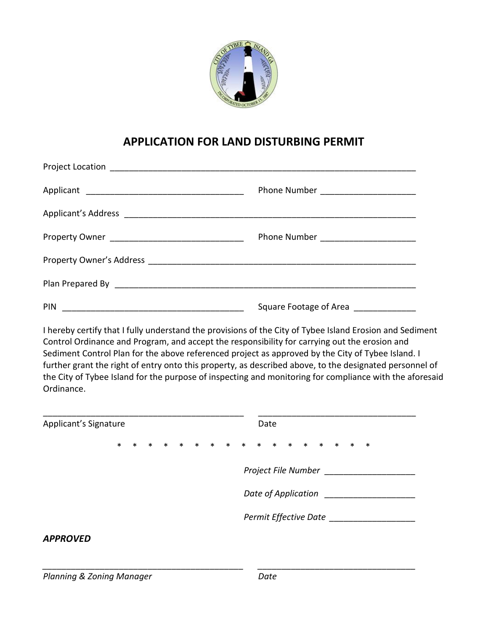

### **APPLICATION FOR LAND DISTURBING PERMIT**

| PIN | Square Footage of Area |
|-----|------------------------|

I hereby certify that I fully understand the provisions of the City of Tybee Island Erosion and Sediment Control Ordinance and Program, and accept the responsibility for carrying out the erosion and Sediment Control Plan for the above referenced project as approved by the City of Tybee Island. I further grant the right of entry onto this property, as described above, to the designated personnel of the City of Tybee Island for the purpose of inspecting and monitoring for compliance with the aforesaid Ordinance.

| Applicant's Signature |        |        |        |  |  |  |  |  | Date                    |                       |  |  |  |  |  |        |        |
|-----------------------|--------|--------|--------|--|--|--|--|--|-------------------------|-----------------------|--|--|--|--|--|--------|--------|
|                       | $\ast$ | $\ast$ | $\ast$ |  |  |  |  |  | * * * * * * * * * * * * |                       |  |  |  |  |  | $\ast$ | $\ast$ |
|                       |        |        |        |  |  |  |  |  |                         | Project File Number   |  |  |  |  |  |        |        |
|                       |        |        |        |  |  |  |  |  |                         | Date of Application   |  |  |  |  |  |        |        |
|                       |        |        |        |  |  |  |  |  |                         | Permit Effective Date |  |  |  |  |  |        |        |
| <b>APPROVED</b>       |        |        |        |  |  |  |  |  |                         |                       |  |  |  |  |  |        |        |

*\_\_\_\_\_\_\_\_\_\_\_\_\_\_\_\_\_\_\_\_\_\_\_\_\_\_\_\_\_\_\_\_\_\_\_\_\_\_\_\_\_\_ \_\_\_\_\_\_\_\_\_\_\_\_\_\_\_\_\_\_\_\_\_\_\_\_\_\_\_\_\_\_\_\_\_*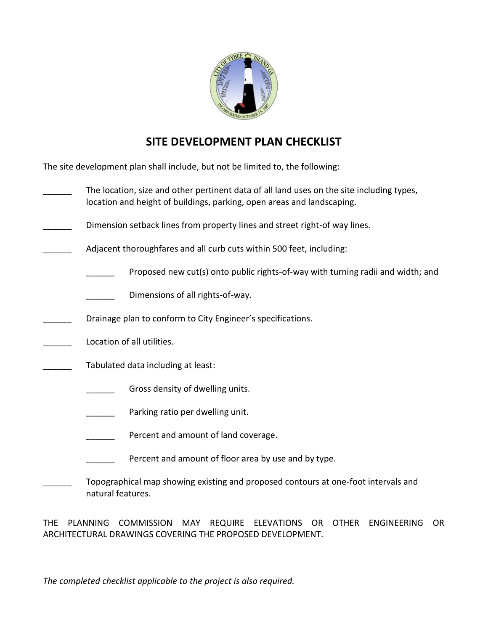

### **SITE DEVELOPMENT PLAN CHECKLIST**

The site development plan shall include, but not be limited to, the following:

- The location, size and other pertinent data of all land uses on the site including types, location and height of buildings, parking, open areas and landscaping.
- Dimension setback lines from property lines and street right-of way lines.
- Adjacent thoroughfares and all curb cuts within 500 feet, including:
	- Proposed new cut(s) onto public rights-of-way with turning radii and width; and
	- Dimensions of all rights-of-way.
- Drainage plan to conform to City Engineer's specifications.
- Location of all utilities.
- Tabulated data including at least:
	- Gross density of dwelling units.
	- Parking ratio per dwelling unit.
	- Percent and amount of land coverage.
	- Percent and amount of floor area by use and by type.
	- Topographical map showing existing and proposed contours at one-foot intervals and natural features.

THE PLANNING COMMISSION MAY REQUIRE ELEVATIONS OR OTHER ENGINEERING OR ARCHITECTURAL DRAWINGS COVERING THE PROPOSED DEVELOPMENT.

*The completed checklist applicable to the project is also required.*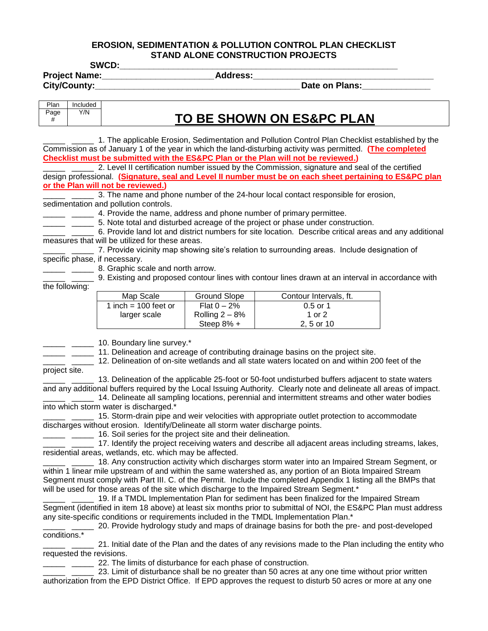#### **EROSION, SEDIMENTATION & POLLUTION CONTROL PLAN CHECKLIST STAND ALONE CONSTRUCTION PROJECTS**

**SWCD:\_\_\_\_\_\_\_\_\_\_\_\_\_\_\_\_\_\_\_\_\_\_\_\_\_\_\_\_\_\_\_\_\_\_\_\_\_\_\_\_\_\_\_\_\_\_\_\_\_\_\_\_\_\_\_\_\_**

**Project Name:\_\_\_\_\_\_\_\_\_\_\_\_\_\_\_\_\_\_\_\_\_\_\_Address:\_\_\_\_\_\_\_\_\_\_\_\_\_\_\_\_\_\_\_\_\_\_\_\_\_\_\_\_\_\_\_\_\_\_\_\_\_**

**City/County:\_\_\_\_\_\_\_\_\_\_\_\_\_\_\_\_\_\_\_\_\_\_\_\_\_\_\_\_\_\_\_\_\_\_\_\_\_\_\_\_\_\_Date on Plans:\_\_\_\_\_\_\_\_\_\_\_\_\_\_**

| Plan | Included |                           |
|------|----------|---------------------------|
| Page | Y/N      | TO BE SHOWN ON ES&PC PLAN |

\_\_\_\_\_ \_\_\_\_\_ 1. The applicable Erosion, Sedimentation and Pollution Control Plan Checklist established by the Commission as of January 1 of the year in which the land-disturbing activity was permitted. **(The completed Checklist must be submitted with the ES&PC Plan or the Plan will not be reviewed.)**

2. Level II certification number issued by the Commission, signature and seal of the certified design professional. **(Signature, seal and Level II number must be on each sheet pertaining to ES&PC plan or the Plan will not be reviewed.)**

1. 2. 2. 3. The name and phone number of the 24-hour local contact responsible for erosion,

#### sedimentation and pollution controls.

<sup>1</sup>/<sub>2</sub> <sup>2</sup>/<sub>2</sub> <sup>2</sup>/<sub>2</sub> <sup>4</sup>. Provide the name, address and phone number of primary permittee.

\_ \_\_\_\_\_ 5. Note total and disturbed acreage of the project or phase under construction.

\_\_\_\_\_ \_\_\_\_\_ 6. Provide land lot and district numbers for site location. Describe critical areas and any additional measures that will be utilized for these areas.

- \_\_\_\_\_ \_\_\_\_\_ 7. Provide vicinity map showing site's relation to surrounding areas. Include designation of specific phase, if necessary.
- **EXECUTE:** 2. Graphic scale and north arrow.
	- **\_\_\_\_** 9. Existing and proposed contour lines with contour lines drawn at an interval in accordance with

the following:

| Map Scale              | <b>Ground Slope</b> | Contour Intervals, ft. |
|------------------------|---------------------|------------------------|
| 1 inch = $100$ feet or | Flat $0 - 2\%$      | $0.5$ or 1             |
| larger scale           | Rolling $2-8%$      | 1 or 2                 |
|                        | Steep $8\%$ +       | 2, 5 or 10             |

\_\_\_\_\_ \_\_\_\_\_ 10. Boundary line survey.\*

**EXECUTE:** 11. Delineation and acreage of contributing drainage basins on the project site.

\_\_\_\_\_ \_\_\_\_\_ 12. Delineation of on-site wetlands and all state waters located on and within 200 feet of the project site.

13. Delineation of the applicable 25-foot or 50-foot undisturbed buffers adjacent to state waters and any additional buffers required by the Local Issuing Authority. Clearly note and delineate all areas of impact.

<sup>1</sup> \_\_\_\_\_\_ 14. Delineate all sampling locations, perennial and intermittent streams and other water bodies into which storm water is discharged.\*

\_\_\_\_\_ \_\_\_\_\_ 15. Storm-drain pipe and weir velocities with appropriate outlet protection to accommodate discharges without erosion. Identify/Delineate all storm water discharge points.

**\_\_\_\_\_** \_\_\_\_\_ 16. Soil series for the project site and their delineation.

17. Identify the project receiving waters and describe all adjacent areas including streams, lakes, residential areas, wetlands, etc. which may be affected.

\_\_\_\_\_ \_\_\_\_\_ 18. Any construction activity which discharges storm water into an Impaired Stream Segment, or within 1 linear mile upstream of and within the same watershed as, any portion of an Biota Impaired Stream Segment must comply with Part III. C. of the Permit. Include the completed Appendix 1 listing all the BMPs that will be used for those areas of the site which discharge to the Impaired Stream Segment.\*

19. If a TMDL Implementation Plan for sediment has been finalized for the Impaired Stream Segment (identified in item 18 above) at least six months prior to submittal of NOI, the ES&PC Plan must address any site-specific conditions or requirements included in the TMDL Implementation Plan.\*

<sup>1</sup> \_\_\_\_\_ 20. Provide hydrology study and maps of drainage basins for both the pre- and post-developed conditions.\*

\_\_\_\_\_ \_\_\_\_\_ 21. Initial date of the Plan and the dates of any revisions made to the Plan including the entity who requested the revisions.

**\_\_\_\_\_** \_\_\_\_\_\_ 22. The limits of disturbance for each phase of construction.

23. Limit of disturbance shall be no greater than 50 acres at any one time without prior written authorization from the EPD District Office. If EPD approves the request to disturb 50 acres or more at any one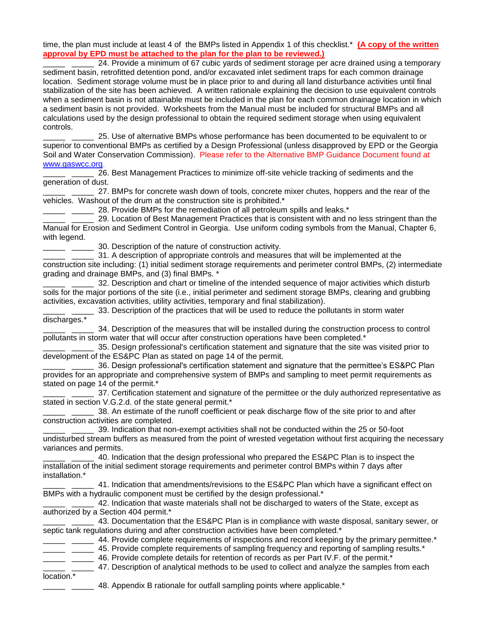time, the plan must include at least 4 of the BMPs listed in Appendix 1 of this checklist.\* **(A copy of the written approval by EPD must be attached to the plan for the plan to be reviewed.)**

\_\_\_\_\_ \_\_\_\_\_ 24. Provide a minimum of 67 cubic yards of sediment storage per acre drained using a temporary sediment basin, retrofitted detention pond, and/or excavated inlet sediment traps for each common drainage location. Sediment storage volume must be in place prior to and during all land disturbance activities until final stabilization of the site has been achieved. A written rationale explaining the decision to use equivalent controls when a sediment basin is not attainable must be included in the plan for each common drainage location in which a sediment basin is not provided. Worksheets from the Manual must be included for structural BMPs and all calculations used by the design professional to obtain the required sediment storage when using equivalent controls.

25. Use of alternative BMPs whose performance has been documented to be equivalent to or superior to conventional BMPs as certified by a Design Professional (unless disapproved by EPD or the Georgia Soil and Water Conservation Commission). Please refer to the Alternative BMP Guidance Document found at www.gaswcc.org.

\_\_\_\_\_ \_\_\_\_\_ 26. Best Management Practices to minimize off-site vehicle tracking of sediments and the generation of dust.

\_\_\_\_\_ \_\_\_\_\_ 27. BMPs for concrete wash down of tools, concrete mixer chutes, hoppers and the rear of the vehicles. Washout of the drum at the construction site is prohibited.\*

28. Provide BMPs for the remediation of all petroleum spills and leaks.\*

\_\_\_\_\_ \_\_\_\_\_ 29. Location of Best Management Practices that is consistent with and no less stringent than the Manual for Erosion and Sediment Control in Georgia. Use uniform coding symbols from the Manual, Chapter 6, with legend.

30. Description of the nature of construction activity.

\_\_\_\_\_ \_\_\_\_\_ 31. A description of appropriate controls and measures that will be implemented at the construction site including: (1) initial sediment storage requirements and perimeter control BMPs, (2) intermediate grading and drainage BMPs, and (3) final BMPs. \*

32. Description and chart or timeline of the intended sequence of major activities which disturb soils for the major portions of the site (i.e., initial perimeter and sediment storage BMPs, clearing and grubbing activities, excavation activities, utility activities, temporary and final stabilization).

33. Description of the practices that will be used to reduce the pollutants in storm water discharges.\*

\_\_\_\_\_ \_\_\_\_\_ 34. Description of the measures that will be installed during the construction process to control pollutants in storm water that will occur after construction operations have been completed.\*

\_\_\_\_\_ \_\_\_\_\_ 35. Design professional's certification statement and signature that the site was visited prior to development of the ES&PC Plan as stated on page 14 of the permit.

\_\_\_\_\_ \_\_\_\_\_ 36. Design professional's certification statement and signature that the permittee's ES&PC Plan provides for an appropriate and comprehensive system of BMPs and sampling to meet permit requirements as stated on page 14 of the permit.\*

37. Certification statement and signature of the permittee or the duly authorized representative as stated in section V.G.2.d. of the state general permit.\*

\_ \_\_\_\_\_ 38. An estimate of the runoff coefficient or peak discharge flow of the site prior to and after construction activities are completed.

39. Indication that non-exempt activities shall not be conducted within the 25 or 50-foot undisturbed stream buffers as measured from the point of wrested vegetation without first acquiring the necessary variances and permits.

\_\_\_\_\_ \_\_\_\_\_ 40. Indication that the design professional who prepared the ES&PC Plan is to inspect the installation of the initial sediment storage requirements and perimeter control BMPs within 7 days after installation.\*

41. Indication that amendments/revisions to the ES&PC Plan which have a significant effect on BMPs with a hydraulic component must be certified by the design professional.\*

\_\_\_\_\_ \_\_\_\_\_ 42. Indication that waste materials shall not be discharged to waters of the State, except as authorized by a Section 404 permit.\*

\_\_\_\_\_ \_\_\_\_\_ 43. Documentation that the ES&PC Plan is in compliance with waste disposal, sanitary sewer, or septic tank regulations during and after construction activities have been completed.<sup>\*</sup>

- $\frac{1}{2}$  44. Provide complete requirements of inspections and record keeping by the primary permittee.\*
- 45. Provide complete requirements of sampling frequency and reporting of sampling results.\*
	- 46. Provide complete details for retention of records as per Part IV.F. of the permit.\*

47. Description of analytical methods to be used to collect and analyze the samples from each

- location.\*
- 48. Appendix B rationale for outfall sampling points where applicable.<sup>\*</sup>